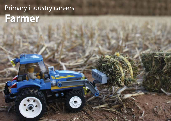### Primary industry careers **Farmer**

 $\mathbf{L}$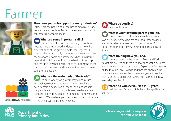## Farmer



#### **How does your role support primary industries?**

Farmers are the beginning of the 'paddock to plate' story we are the start. Without farmers there are no products to sell, process, transport or eat!

### **What are some important skills?**

**Farmers need to have a whole range of skills. We** need to have a really good understanding of how the different parts of the growing cycle work together. I monitor the health of soil, take regular soil tests, and have my agronomist come and advise me when I am unsure. I spend a lot of time monitoring the health of the crops and we run a few sheep here. I need to understand sheep nutrition requirements, and look after the sheep to make sure they are healthy.

# Little **BRICK** Pastoral

### **What are the main tools of the trade?**

On our property we grow mostly crops, pulses and grains, so our important tools are our machinery. We have tractors, a header, an air seeder and a boom spray but people are our most valuable asset. We have a few casual staff members to help us complete the sowing and harvesting. We also have people come and help with some of the sheep work including shearing.



### **What is your favourite part of your job?**

I get to live and work with my family in a place I love every day. Some days are hard, and some seasons are harder when the weather isn't in our favour. But most of the time farming is a very rewarding occupation and lifestyle.

### **What training have you had?**

I grew up here on the farm and Mum and Dad taught me everything there is to know about the business and what we do. I also completed a Diploma of Agriculture online through Tocal College and that has given me the confidence to change a few farm management practices that I wanted to do differently. You learn something new every day on a farm!

### **Where do you see yourself in 10 years?**

I will be here. Farming might have changed but I will still love it.



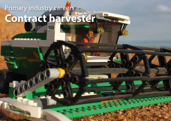### Primary industry careers **Contract harvester**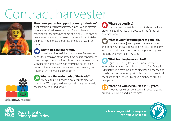## Contract harvester



#### **How does your role support primary industries?**

A lot of farming equipment is very expensive and farmers can't always afford to own all the different pieces of machinery especially when some of it is only used once or twice a year at sowing or harvest. They employ us to take our machines to those properties and do that work for them.

### **What skills are important?**

It can be a bit stressful around harvest if everyone needs their crops off at the same time, so it is important to have strong communication skills and be able to negotiate with people. Some days we do really long hours so it is important to take regular breaks. We have many regular drivers so we can swap and work in shifts.



### **What are the main tools of the trade?**

My beautiful big header is my favourite piece of machinery. We keep it well maintained so it is ready to do the long hours during harvest.

### **Where do you live?**

I have a small farm right in the middle of the local growing area. I live nice and close to all the farms I do contract work on.

### **What is your favourite part of your job?**

I have always enjoyed operating the machines and these new ones are great to drive! I also like that my job means that I can spend a lot of the year on my own property and working on my farm.

### **What training have you had?**

I grew up in a big town but I knew I wanted to work on farms when I left school so I did a Certificate III in Agriculture. This gave me a lot of practical experience and I made the most of any opportunities that I got. Eventually my husband and I saved up enough money to buy our own place.

### **Where do you see yourself in 10 years?**

I hope to retire from contracting in about 6 years, but I will still live on and run the farm.





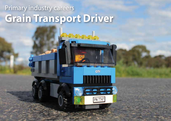### Primary industry careers **Grain Transport Driver**

**GTY**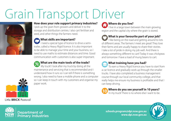## Grain Transport Driver



#### **How does your role support primary industries?**

I pick up the grain from growers and deliver it to the storage and distribution centres. I also cart fertiliser and seed, and other things the farmers need.

### **What skills are important?**

I need a special type of licence to drive a semitrailer, called a Heavy Rigid licence. It is also important to be able to manage your time and your business, so I need to use maths to estimate distances and time. Good communication with customers is also super important.

### **What are the main tools of the trade?**

My truck! I look after my truck by doing all the maintenance and servicing that is recommended and I understand how it runs so I can tell if there is something wrong. I also need to have a mobile phone and a computer so I can keep in touch with my customers and organise my paper work.

### **Where do you live?**

I live in a large town between the main growing region and the capital city where the grain is stored.

### **What is your favourite part of your job?**

I like being on the road and getting around to lots of different areas. The farmers I meet are great! They love their farms and are usually happy to share their stories. I take a lot of pride in doing my job well. And there is always something different to cart! Today it was chickpeas and tomorrow I have a load of mung beans to cart.

### **What training have you had?**

To earn a Heavy Rigid licence you have to start from a car licence and gradually work up through the smaller trucks. I have also completed a business management course through our local community college, and that really helps me ensure my business is profitable and that I can keep driving.

### **Where do you see yourself in 10 years?**

In my truck! There is no where else I want to be.







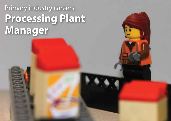### Primary industry careers **Processing Plant Manager**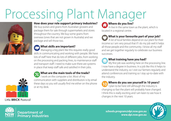## Processing Plant Manager



#### **How does your role support primary industries?**

We buy pulses and grains from Australian growers and package them for sale through supermarkets and stores throughout the country. We buy some grains from overseas (ones that are not grown in Australia) and we package and sell those too.

### **What skills are important?**

Managing a big plant like this requires really good skills in communicating and working with people. We have lots of staff here that do lots of different jobs, from working on the processing and packing lines, to maintenance staff and transport staff. I need to make sure there are systems in place that keep staff safe and satisfied in their jobs.

### **What are the main tools of the trade?**

I work on the computer a lot. Most of my communication with suppliers and distributors is by email these days so you will usually find me either on the phone or at my desk.

### **Where do you live?**

In live in the same town as the plant, which is located in a regional centre.

### **What is your favourite part of your job?**

A lot of local families depend on our plant for their income so I am very proud that if I do my job well it helps all those people and the community. I know all my staff and we get together regularly to celebrate our business successes.

### **What training have you had?**

My first job was working here on the processing line. I now have a degree in business. In a job like this it helps to understand the industry, so I visit our farmers regularly and attend conferences and training so I stay up-to-date with the industry.

### **Where do you see yourself in 10 years?**

I plan to be here still although the industry is changing so fast the plant will probably have changed. I think this is really exciting and I am keen to see how it changes in the next 10 years.



#### Little **BRICK** Pastoral



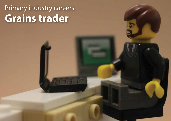### Primary industry careers **Grains trader**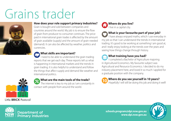## Grains trader



#### **How does your role support primary industries?**

Grain is bought and sold between companies and countries around the world. My job is to ensure the flow of grain from producer to consumer continues. The price paid in international grain trades is affected by the amount of grain available (supply) and the amount of grain needed (demand). It can also be affected by weather, politics and currencies.

### **What skills are important?**

I need to be able to understand the grain trading reports that we get each day. These reports tell us what is happening in international markets and the trends in grain trading. It is also helpful to understand and follow the things that affect supply and demand like weather and international politics.



#### **What are the main tools of the trade?**

The internet is key to my job as I am constantly in contact with people from around the world.



### **What is your favourite part of your job?**

I have always enjoyed maths, which I use everyday in my job so that I can understand the trends in international trading. It's good to be working at something I am good at, and I really enjoy looking at the trends over the years and seeing how things change through history.

### **What training have you had?**

I completed a Bachelor of Agriculture majoring in Agricultural Economics. My favourite subject was Agricultural and Resource Economics. I decided to do my industry placement here, and loved it so much I applied for a graduate position with the company.

### **Where do you see yourself in 10 years?**

Hopefully I will still be doing this job and doing it well!





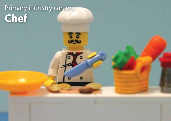### Primary industry careers **Chef**

œ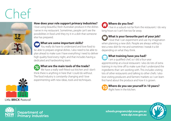## Chef



#### **How does your role support primary industries?**

I love using beautiful, fresh Australian produce in the dishes I serve in my restaurant. Sometimes, people can't see the possibilities in food until they try it in a dish that someone else has prepared.

### **What are some important skills?**

You really do have to understand and love food to be able to prepare original dishes. I also need to be able to plan ahead to make sure I have everything I need to deliver high quality food every night, and that includes having a dedicated and hardworking team.



### **What are the main tools of the trade?**

We have a really well-fitted-out kitchen and I don't think there is anything in here that I could do without. The food industry is constantly changing and I love experimenting with new ideas, tools and techniques.



### **Where do you live?**

I live in a suburb not far from the restaurant. I do very long hours so I can't live too far away.

### **What is your favourite part of your job?**

 $\sqrt{ }$  I love that I can experiment and use my imagination when planning a new dish. People are always willing to test a new dish for me and sometimes I tweak it a bit depending on what they think.

**What training have you had?** 

I am a qualified chef, so I did a four-year apprenticeship at a local restaurant. I also do lots of extra training in my time off to make sure that I understand the ingredients that I am working with. This includes visiting lots of other restaurants and talking to other chefs. I also love visiting producers and farmers' markets so I can learn first hand about the produce and how it is grown.



### **Where do you see yourself in 10 years?**

Right here in the kitchen.



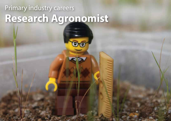### Primary industry careers **Research Agronomist**

÷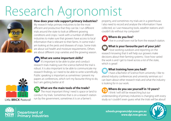## Research Agronomist



#### **How does your role support primary industries?**

My research helps primary industries to be the most efficient and productive that they can be. I run different trials around the state to look at different growing conditions and crops. I work with a number of different industries to make sure that growers have access to local information that is relevant to their farms. In some trials I am looking at the pests and diseases of crops. Some trials are about soil health and moisture requirements. Others are about different crop varieties and the growing season.

### **What are some important skills?**

It's important to be able to plan and conduct research trials making sure the science behind the trial is robust. It is also important to be able to communicate my research findings, so I need to be able to write scientifically. Public speaking is important as sometimes I present my papers at conferences, which isn't my favourite thing to do, but I am getting better at it!



### **What are the main tools of the trade?**

The most important thing I need is space or land to conduct my trials. Sometimes that is on a research station run by the government, sometimes it is on a farmer's

property, and sometimes my trials are in a greenhouse. I also need to record and analyse the information I have collected, so I use measuring tools, weather stations and I couldn't do without my computer!

### **Where do you live?**

I live in a small town not far from the research station.

### **What is your favourite part of your job?**

I love working outdoors and reporting on the research knowing that it will help our growers make decisions about their farming systems. I love how varied the work is and I get to travel across a lot of the state, which is great!

### **What training have you had?**

I have a Bachelor of Science from university. I like to attend industry conferences and university seminars so I can learn about other research trials and what the industry is looking for in our work.

### **Where do you see yourself in 10 years?**

I think I will still be researching but our understanding of primary industries is changing with every study so I couldn't even guess what the trials will be about!



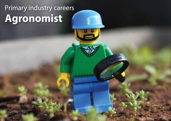### Primary industry careers **Agronomist**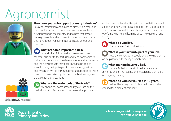## gronomist



#### **How does your role support primary industries?**

I provide information and advice to growers on crops and pastures. It's my job to stay up-to-date on research and developments in the industry and to pass that advice on to growers. I also help them to understand and make decisions about managing their soil health, crops and pastures.

#### **What are some important skills?**

I spend a lot of time reading new research and reports. I also talk to the fertiliser and seed companies to make sure I understand the developments in their industry and the new products they offer. I need to be able to identify the growing stages of different crops, pastures and weeds, as well as common pests and diseases of those plants, so I can advise my clients on the best management practices for their situations.



### **What are the main tools of the trade?**

My phone, my computer and my car. I am on the road a lot visiting farmers and companies that produce

fertilisers and herbicides. I keep in touch with the research stations and how their trials are going. I am subscribed to a lot of industry newsletters and magazines so I spend a lot of time reading and learning about new research and findings.



### **Where do you live?**

I live on a farm just outside town.

### **What is your favourite part of your job?**

I love the contact with people and knowing that my job helps farmers to manage their businesses.

### **What training have you had?**

I have a Bachelor of Agricultural Science from university and all the reading and researching that I do is like ongoing training.

### **Where do you see yourself in 10 years?**

I will still be an agronomist but I will probably be working for a different company.



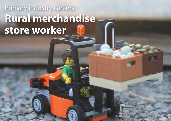### Primary industry careers **Rural merchandise store worker**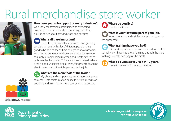## Rural merchandise store worker



#### **How does your role support primary industries?**

We supply the farming community with everything needed to run a farm. We also have an agronomist to provide advice about growing crops and pastures.

### **What skills are important?**

I need to understand local industries and growing conditions. I deal with a lot of different people so it is good to be able to spend time and get to know growers and contractors in our local area. We stock a huge range of supplies, from fencing materials and livestock feeds to technologies like drones. This variety means I need to have a really good understanding of everything we stock and be able to recommend the right product for the job.

### **What are the main tools of the trade?**

My phone and computer are really important, so we can access lots of information online to help farmers make decisions and to find a particular tool or a soil testing lab.



### **What is your favourite part of your job?**

When I get to go and visit farmers and get to know their properties.

### **What training have you had?**

I did work experience here and then had some afterschool work. I have had a lot of training through the store in things like safe handling of chemicals.



#### **Where do you see yourself in 10 years?**

I hope to be managing one of the stores.





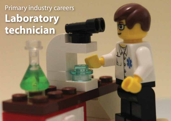### Primary industry careers **Laboratory technician**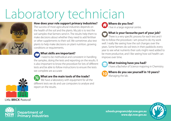## Laboratory technician



#### **How does your role support primary industries?**

The success of most agricultural industries depends on the health of the soil and the plants. My job is to test the soil samples that farmers send in. The results help them to make decisions about whether they need to add fertiliser or other supplements to their soil. We sometimes also test plants to help make decisions on plant nutrition, growing conditions or requirements.

### **What skills are important?**

I need to be methodical and consistent in handling the samples, doing the tests and reporting on the results. It is also important to know the procedure for lots of different tests and be able to follow instructions to ensure the tests we complete are accurate



### **What are the main tools of the trade?**

We have a laboratory with equipment for all the different tests we do and use computers to analyse and report on the results.

**Where do you live?**  I live in a large regional centre.

### **What is your favourite part of your job?**

There is a very specific process for each test and I like to follow the procedure. I am proud to do my work well. I really like seeing how the soil changes over the years. Some farmers do soil tests in their paddocks every year to see what nutrients their soils might need added to be more productive, and I like seeing how soil health can improve over time.



#### **What training have you had?**

I have a Bachelor of Science majoring in Chemistry.



### **Where do you see yourself in 10 years?**

Managing the lab.



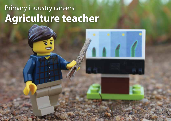### Primary industry careers **Agriculture teacher**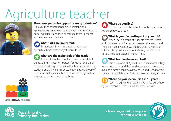## Agriculture teacher



#### **How does your role support primary industries?**

It's really important that people understand and appreciate agriculture so I try to get students enthusiastic about agriculture and then encourage them to choose agriculture as a subject later in school.

### **What skills are important?**

Enthusiasm! If I am not enthusiastic about agriculture I can't expect my students to be.

### **What are the main tools of the trade?**

The ag plot in the school is where we do a lot of our teaching. It is really important for me to have lots of up-to-date industry information that I can share with my students and answer their questions. We have a group of local farmers that are really supportive of the agricultural program we have here at the school.



### **Where do you live?**

I live in town near the school. I love being able to walk to school each day.

### **What is your favourite part of your job?**

When I have a group of students who really love agriculture and look forward to the work that we do and the projects that we run. We often take our school stud cattle or sheep to local shows and it is great to see the pride the students have in their animals.

### **What training have you had?**

I did a Diploma of Agriculture at a vocational college when I left school and then studied teaching. My cousins lived on a farm when I was growing up and I used to visit them a lot, which is how I first got interested in agriculture.

### **Where do you see yourself in 10 years?**

Teaching agriculture. I would love to see our school ag plot expand and have more students involved.



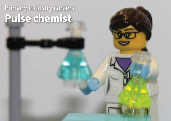### Primary industry careers **Pulse chemist**